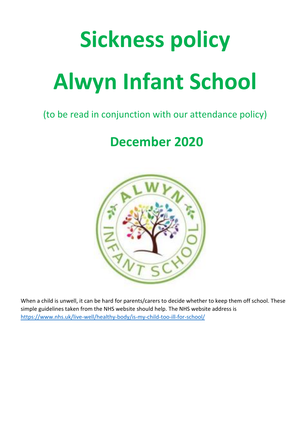# **Sickness policy Alwyn Infant School**

### (to be read in conjunction with our attendance policy)

## **December 2020**



When a child is unwell, it can be hard for parents/carers to decide whether to keep them off school. These simple guidelines taken from the NHS website should help. The NHS website address is <https://www.nhs.uk/live-well/healthy-body/is-my-child-too-ill-for-school/>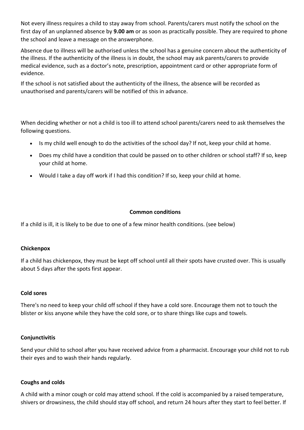Not every illness requires a child to stay away from school. Parents/carers must notify the school on the first day of an unplanned absence by **9.00 am** or as soon as practically possible. They are required to phone the school and leave a message on the answerphone.

Absence due to illness will be authorised unless the school has a genuine concern about the authenticity of the illness. If the authenticity of the illness is in doubt, the school may ask parents/carers to provide medical evidence, such as a doctor's note, prescription, appointment card or other appropriate form of evidence.

If the school is not satisfied about the authenticity of the illness, the absence will be recorded as unauthorised and parents/carers will be notified of this in advance.

When deciding whether or not a child is too ill to attend school parents/carers need to ask themselves the following questions.

- Is my child well enough to do the activities of the school day? If not, keep your child at home.
- Does my child have a condition that could be passed on to other children or school staff? If so, keep your child at home.
- Would I take a day off work if I had this condition? If so, keep your child at home.

#### **Common conditions**

If a child is ill, it is likely to be due to one of a few minor health conditions. (see below)

#### **Chickenpox**

If a child has chickenpox, they must be kept off school until all their spots have crusted over. This is usually about 5 days after the spots first appear.

#### **Cold sores**

There's no need to keep your child off school if they have a cold sore. Encourage them not to touch the blister or kiss anyone while they have the cold sore, or to share things like cups and towels.

#### **Conjunctivitis**

Send your child to school after you have received advice from a pharmacist. Encourage your child not to rub their eyes and to wash their hands regularly.

#### **Coughs and colds**

A child with a minor cough or cold may attend school. If the cold is accompanied by a raised temperature, shivers or drowsiness, the child should stay off school, and return 24 hours after they start to feel better. If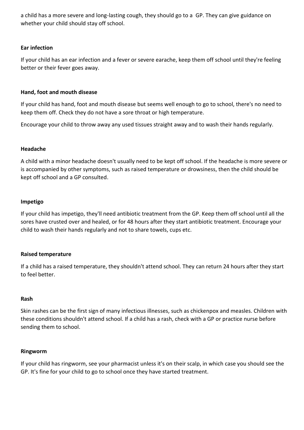a child has a more severe and long-lasting cough, they should go to a GP. They can give guidance on whether your child should stay off school.

#### **Ear infection**

If your child has an ear infection and a fever or severe earache, keep them off school until they're feeling better or their fever goes away.

#### **Hand, foot and mouth disease**

If your child has hand, foot and mouth disease but seems well enough to go to school, there's no need to keep them off. Check they do not have a sore throat or high temperature.

Encourage your child to throw away any used tissues straight away and to wash their hands regularly.

#### **Headache**

A child with a minor headache doesn't usually need to be kept off school. If the headache is more severe or is accompanied by other symptoms, such as raised temperature or drowsiness, then the child should be kept off school and a GP consulted.

#### **Impetigo**

If your child has impetigo, they'll need antibiotic treatment from the GP. Keep them off school until all the sores have crusted over and healed, or for 48 hours after they start antibiotic treatment. Encourage your child to wash their hands regularly and not to share towels, cups etc.

#### **Raised temperature**

If a child has a raised temperature, they shouldn't attend school. They can return 24 hours after they start to feel better.

#### **Rash**

Skin rashes can be the first sign of many infectious illnesses, such as chickenpox and measles. Children with these conditions shouldn't attend school. If a child has a rash, check with a GP or practice nurse before sending them to school.

#### **Ringworm**

If your child has ringworm, see your pharmacist unless it's on their scalp, in which case you should see the GP. It's fine for your child to go to school once they have started treatment.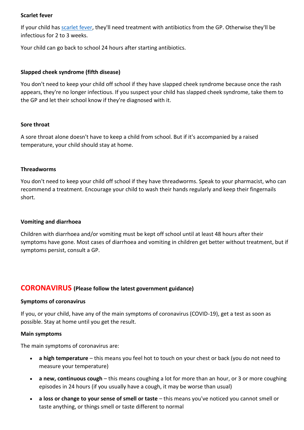#### **Scarlet fever**

If your child has [scarlet fever,](https://www.nhs.uk/conditions/scarlet-fever/) they'll need treatment with antibiotics from the GP. Otherwise they'll be infectious for 2 to 3 weeks.

Your child can go back to school 24 hours after starting antibiotics.

#### **Slapped cheek syndrome (fifth disease)**

You don't need to keep your child off school if they have slapped cheek syndrome because once the rash appears, they're no longer infectious. If you suspect your child has slapped cheek syndrome, take them to the GP and let their school know if they're diagnosed with it.

#### **Sore throat**

A sore throat alone doesn't have to keep a child from school. But if it's accompanied by a raised temperature, your child should stay at home.

#### **Threadworms**

You don't need to keep your child off school if they have threadworms. Speak to your pharmacist, who can recommend a treatment. Encourage your child to wash their hands regularly and keep their fingernails short.

#### **Vomiting and diarrhoea**

Children with diarrhoea and/or vomiting must be kept off school until at least 48 hours after their symptoms have gone. Most cases of diarrhoea and vomiting in children get better without treatment, but if symptoms persist, consult a GP.

#### **CORONAVIRUS (Please follow the latest government guidance)**

#### **Symptoms of coronavirus**

If you, or your child, have any of the main symptoms of coronavirus (COVID-19), get a test as soon as possible. Stay at home until you get the result.

#### **Main symptoms**

The main symptoms of coronavirus are:

- **a high temperature** this means you feel hot to touch on your chest or back (you do not need to measure your temperature)
- **a new, continuous cough** this means coughing a lot for more than an hour, or 3 or more coughing episodes in 24 hours (if you usually have a cough, it may be worse than usual)
- **a loss or change to your sense of smell or taste** this means you've noticed you cannot smell or taste anything, or things smell or taste different to normal